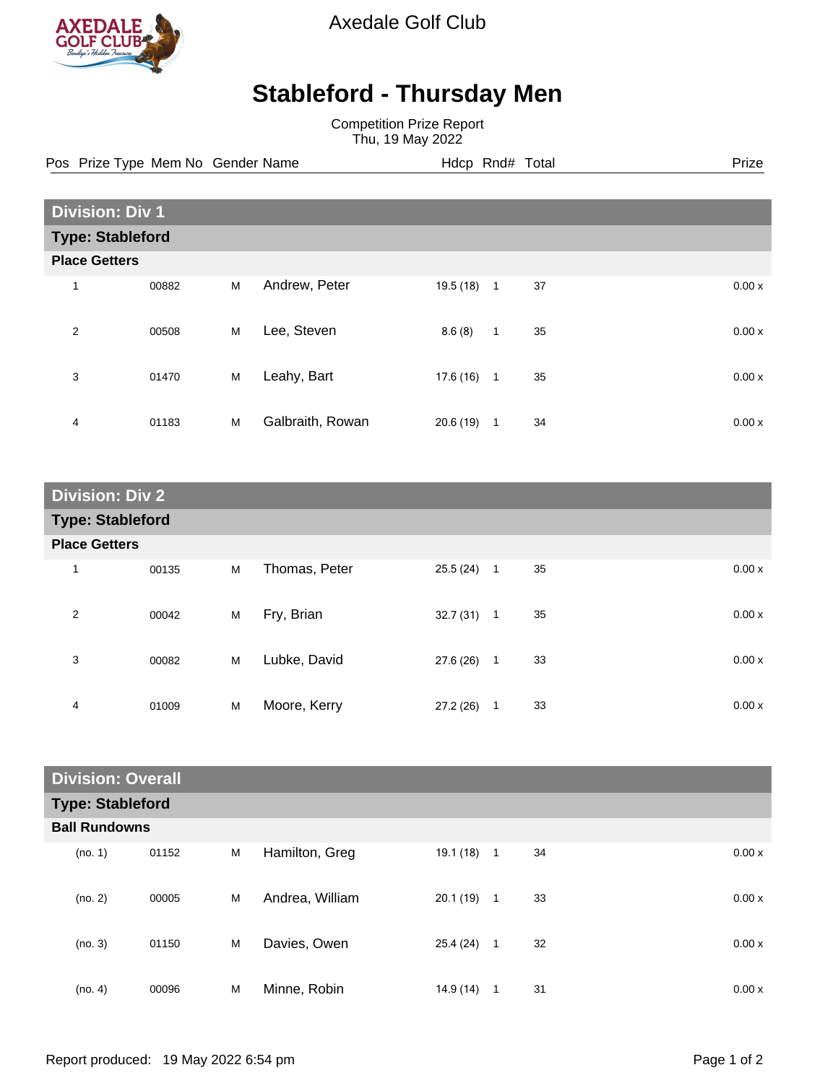

Axedale Golf Club

## **Stableford - Thursday Men**

Competition Prize Report Thu, 19 May 2022

Pos Prize Type Mem No Gender Name **Hdcp Rnd# Total** Prize Prize

| <b>Division: Div 1</b>  |       |   |                  |           |              |    |  |       |
|-------------------------|-------|---|------------------|-----------|--------------|----|--|-------|
| <b>Type: Stableford</b> |       |   |                  |           |              |    |  |       |
| <b>Place Getters</b>    |       |   |                  |           |              |    |  |       |
| 1                       | 00882 | M | Andrew, Peter    | 19.5 (18) | $\mathbf{1}$ | 37 |  | 0.00x |
| $\overline{2}$          | 00508 | M | Lee, Steven      | 8.6(8)    | $\mathbf{1}$ | 35 |  | 0.00x |
| 3                       | 01470 | M | Leahy, Bart      | 17.6(16)  | $\mathbf{1}$ | 35 |  | 0.00x |
| 4                       | 01183 | M | Galbraith, Rowan | 20.6(19)  | 1            | 34 |  | 0.00x |

| <b>Division: Div 2</b>  |       |   |               |              |                      |       |  |
|-------------------------|-------|---|---------------|--------------|----------------------|-------|--|
| <b>Type: Stableford</b> |       |   |               |              |                      |       |  |
| <b>Place Getters</b>    |       |   |               |              |                      |       |  |
| $\mathbf{1}$            | 00135 | M | Thomas, Peter | $25.5(24)$ 1 | 35                   | 0.00x |  |
| 2                       | 00042 | M | Fry, Brian    | $32.7(31)$ 1 | 35                   | 0.00x |  |
| 3                       | 00082 | M | Lubke, David  | 27.6 (26)    | 33<br>$\overline{1}$ | 0.00x |  |
| 4                       | 01009 | M | Moore, Kerry  | 27.2 (26)    | 33<br>$\mathbf{1}$   | 0.00x |  |

| <b>Division: Overall</b> |                         |       |   |                 |           |                |    |       |
|--------------------------|-------------------------|-------|---|-----------------|-----------|----------------|----|-------|
|                          | <b>Type: Stableford</b> |       |   |                 |           |                |    |       |
|                          | <b>Ball Rundowns</b>    |       |   |                 |           |                |    |       |
|                          | (no. 1)                 | 01152 | M | Hamilton, Greg  | 19.1 (18) | $\overline{1}$ | 34 | 0.00x |
|                          | (no. 2)                 | 00005 | M | Andrea, William | 20.1(19)  | $\mathbf{1}$   | 33 | 0.00x |
|                          | (no. 3)                 | 01150 | M | Davies, Owen    | 25.4 (24) | $\overline{1}$ | 32 | 0.00x |
|                          | (no. 4)                 | 00096 | M | Minne, Robin    | 14.9(14)  | 1              | 31 | 0.00x |